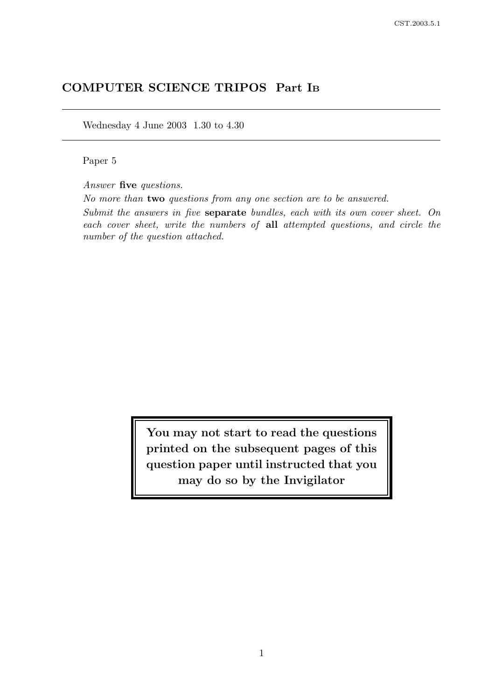# COMPUTER SCIENCE TRIPOS Part I<sup>B</sup>

Wednesday 4 June 2003 1.30 to 4.30

Paper 5

Answer five questions.

No more than two questions from any one section are to be answered.

Submit the answers in five separate bundles, each with its own cover sheet. On each cover sheet, write the numbers of all attempted questions, and circle the number of the question attached.

> You may not start to read the questions printed on the subsequent pages of this question paper until instructed that you may do so by the Invigilator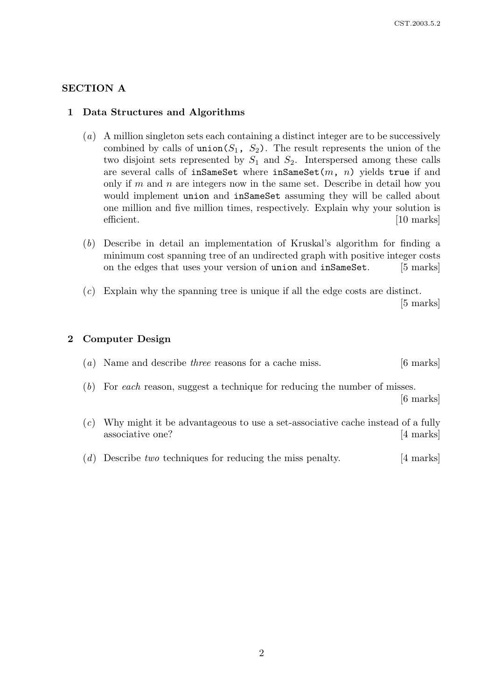### SECTION A

### 1 Data Structures and Algorithms

- (a) A million singleton sets each containing a distinct integer are to be successively combined by calls of union( $S_1$ ,  $S_2$ ). The result represents the union of the two disjoint sets represented by  $S_1$  and  $S_2$ . Interspersed among these calls are several calls of inSameSet where inSameSet $(m, n)$  yields true if and only if m and n are integers now in the same set. Describe in detail how you would implement union and inSameSet assuming they will be called about one million and five million times, respectively. Explain why your solution is efficient. [10 marks]
- (b) Describe in detail an implementation of Kruskal's algorithm for finding a minimum cost spanning tree of an undirected graph with positive integer costs on the edges that uses your version of union and inSameSet. [5 marks]
- (c) Explain why the spanning tree is unique if all the edge costs are distinct. [5 marks]

#### 2 Computer Design

| $(a)$ Name and describe <i>three</i> reasons for a cache miss.                                                                                                                                                                              | $[6 \text{ marks}]$ |
|---------------------------------------------------------------------------------------------------------------------------------------------------------------------------------------------------------------------------------------------|---------------------|
| $(b)$ For each reason, suggest a technique for reducing the number of misses.                                                                                                                                                               | $[6 \text{ marks}]$ |
| $\sqrt{2}$<br>. The contract of the contract of the contract of the contract of the contract of the contract of the contract of the contract of the contract of the contract of the contract of the contract of the contract of the contrac |                     |

- (c) Why might it be advantageous to use a set-associative cache instead of a fully associative one? [4 marks]
- (d) Describe two techniques for reducing the miss penalty. [4 marks]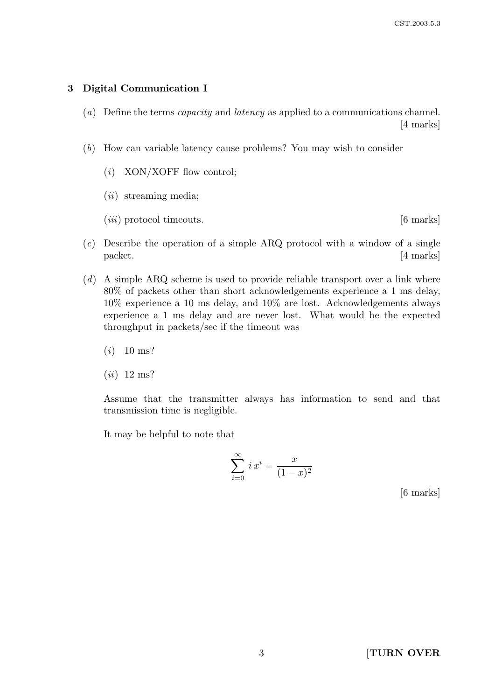### 3 Digital Communication I

- (a) Define the terms capacity and latency as applied to a communications channel. [4 marks]
- (b) How can variable latency cause problems? You may wish to consider
	- $(i)$  XON/XOFF flow control;
	- $(ii)$  streaming media;
	- $(iii)$  protocol timeouts.  $[6 \text{ marks}]$

- $(c)$  Describe the operation of a simple ARQ protocol with a window of a single packet. [4 marks]
- $(d)$  A simple ARQ scheme is used to provide reliable transport over a link where 80% of packets other than short acknowledgements experience a 1 ms delay, 10% experience a 10 ms delay, and 10% are lost. Acknowledgements always experience a 1 ms delay and are never lost. What would be the expected throughput in packets/sec if the timeout was
	- $(i)$  10 ms?
	- $(ii)$  12 ms?

Assume that the transmitter always has information to send and that transmission time is negligible.

It may be helpful to note that

$$
\sum_{i=0}^{\infty} i x^i = \frac{x}{(1-x)^2}
$$

[6 marks]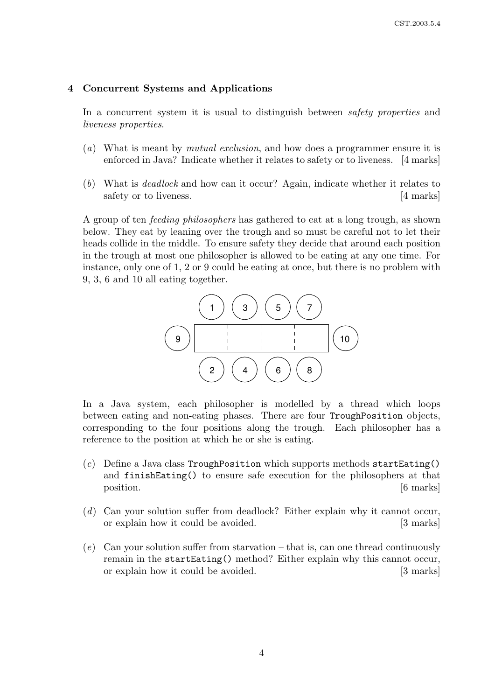### 4 Concurrent Systems and Applications

In a concurrent system it is usual to distinguish between *safety properties* and liveness properties.

- (a) What is meant by mutual exclusion, and how does a programmer ensure it is enforced in Java? Indicate whether it relates to safety or to liveness. [4 marks]
- (b) What is deadlock and how can it occur? Again, indicate whether it relates to safety or to liveness. [4 marks]

A group of ten feeding philosophers has gathered to eat at a long trough, as shown below. They eat by leaning over the trough and so must be careful not to let their heads collide in the middle. To ensure safety they decide that around each position in the trough at most one philosopher is allowed to be eating at any one time. For instance, only one of 1, 2 or 9 could be eating at once, but there is no problem with 9, 3, 6 and 10 all eating together.



In a Java system, each philosopher is modelled by a thread which loops between eating and non-eating phases. There are four TroughPosition objects, corresponding to the four positions along the trough. Each philosopher has a reference to the position at which he or she is eating.

- (c) Define a Java class TroughPosition which supports methods startEating() and finishEating() to ensure safe execution for the philosophers at that position. [6 marks]
- (d) Can your solution suffer from deadlock? Either explain why it cannot occur, or explain how it could be avoided. [3 marks]
- $(e)$  Can your solution suffer from starvation that is, can one thread continuously remain in the startEating() method? Either explain why this cannot occur, or explain how it could be avoided. [3 marks]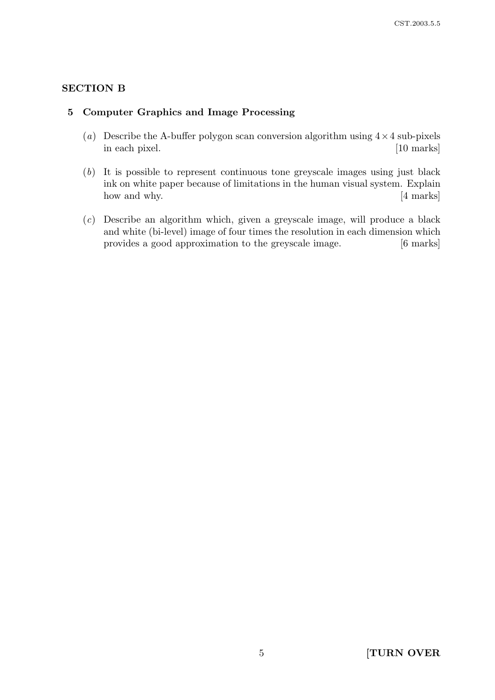# SECTION B

### 5 Computer Graphics and Image Processing

- (a) Describe the A-buffer polygon scan conversion algorithm using  $4 \times 4$  sub-pixels in each pixel. [10 marks]
- (b) It is possible to represent continuous tone greyscale images using just black ink on white paper because of limitations in the human visual system. Explain how and why. [4 marks]
- (c) Describe an algorithm which, given a greyscale image, will produce a black and white (bi-level) image of four times the resolution in each dimension which provides a good approximation to the greyscale image. [6 marks]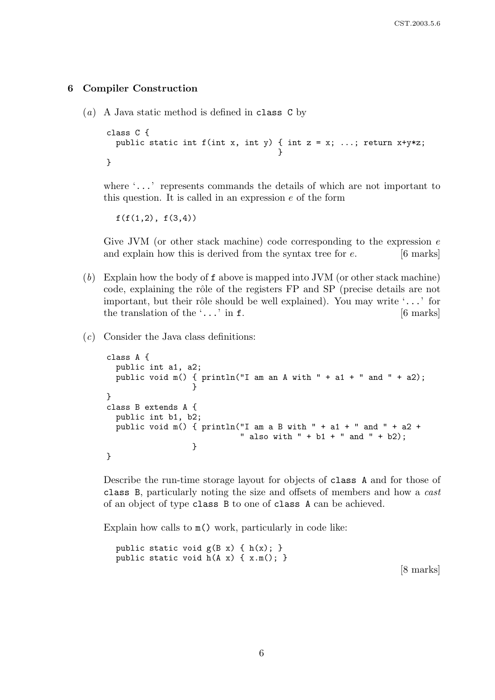### 6 Compiler Construction

(a) A Java static method is defined in class C by

```
class C {
  public static int f(int x, int y) { int z = x; ...; return x+y*z;
                                     }
}
```
where '...' represents commands the details of which are not important to this question. It is called in an expression  $e$  of the form

 $f(f(1,2), f(3,4))$ 

Give JVM (or other stack machine) code corresponding to the expression  $e$ and explain how this is derived from the syntax tree for  $e$ . [6 marks]

- (b) Explain how the body of f above is mapped into JVM (or other stack machine) code, explaining the rôle of the registers FP and SP (precise details are not important, but their rôle should be well explained). You may write  $\ldots$  for the translation of the  $\ldots$  in f. [6 marks]
- (c) Consider the Java class definitions:

```
class A {
  public int a1, a2;
  public void m() { println("I am an A with " + a1 + " and " + a2);
                  }
}
class B extends A {
  public int b1, b2;
  public void m() { println("I am a B with " + a1 + " and " + a2 +
                            " also with " + b1 + " and " + b2);
                  }
}
```
Describe the run-time storage layout for objects of class A and for those of class B, particularly noting the size and offsets of members and how a cast of an object of type class B to one of class A can be achieved.

Explain how calls to  $m()$  work, particularly in code like:

public static void  $g(B x) \{ h(x); \}$ public static void h(A x) { x.m(); }

[8 marks]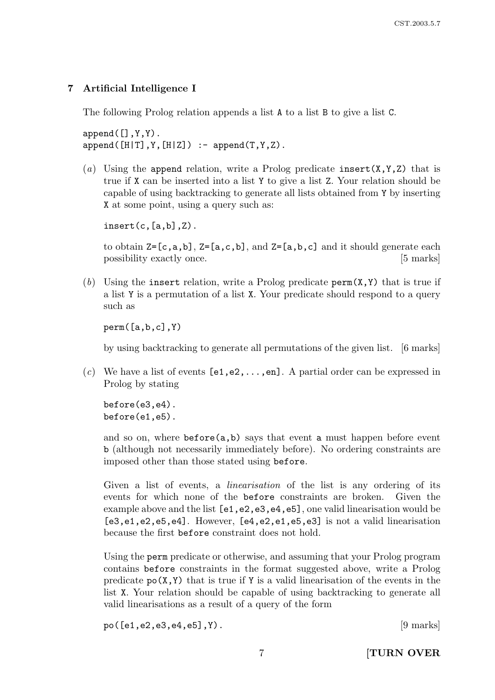# 7 Artificial Intelligence I

The following Prolog relation appends a list A to a list B to give a list C.

 $append([], Y, Y)$ .  $append([H|T],Y,[H|Z])$  :-  $append(T,Y,Z)$ .

(a) Using the append relation, write a Prolog predicate insert  $(X, Y, Z)$  that is true if X can be inserted into a list Y to give a list Z. Your relation should be capable of using backtracking to generate all lists obtained from Y by inserting X at some point, using a query such as:

 $insert(c, [a, b], Z)$ .

to obtain  $Z=[c,a,b]$ ,  $Z=[a,c,b]$ , and  $Z=[a,b,c]$  and it should generate each possibility exactly once. [5 marks]

(b) Using the insert relation, write a Prolog predicate  $\text{perm}(X,Y)$  that is true if a list Y is a permutation of a list X. Your predicate should respond to a query such as

perm([a,b,c],Y)

by using backtracking to generate all permutations of the given list. [6 marks]

(c) We have a list of events  $[e1, e2, \ldots, en]$ . A partial order can be expressed in Prolog by stating

before(e3,e4). before(e1,e5).

and so on, where  $\text{before}(a,b)$  says that event a must happen before event b (although not necessarily immediately before). No ordering constraints are imposed other than those stated using before.

Given a list of events, a *linearisation* of the list is any ordering of its events for which none of the before constraints are broken. Given the example above and the list  $[e1, e2, e3, e4, e5]$ , one valid linearisation would be [e3,e1,e2,e5,e4]. However, [e4,e2,e1,e5,e3] is not a valid linearisation because the first before constraint does not hold.

Using the perm predicate or otherwise, and assuming that your Prolog program contains before constraints in the format suggested above, write a Prolog predicate  $p_0(X, Y)$  that is true if Y is a valid linearisation of the events in the list X. Your relation should be capable of using backtracking to generate all valid linearisations as a result of a query of the form

 $po([e1, e2, e3, e4, e5], Y).$  [9 marks]

7 **[TURN OVER**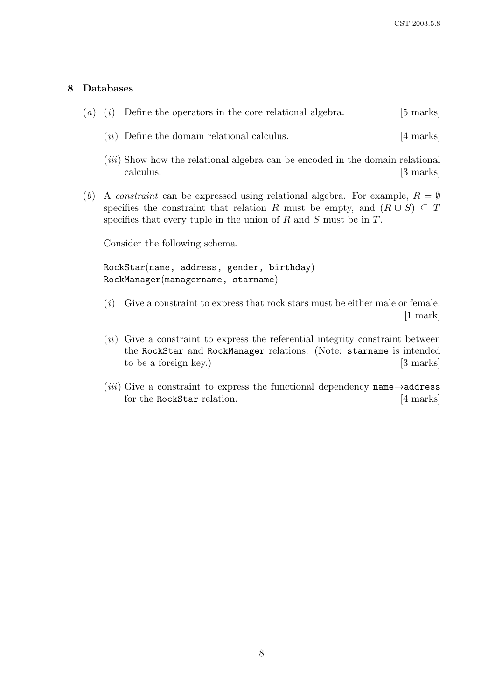# 8 Databases

|  | $(a)$ (i) Define the operators in the core relational algebra.                                    | $[5 \text{ marks}]$ |
|--|---------------------------------------------------------------------------------------------------|---------------------|
|  | $(ii)$ Define the domain relational calculus.                                                     | $[4 \text{ marks}]$ |
|  | <i>(iii)</i> Show how the relational algebra can be encoded in the domain relational<br>calculus. | $[3 \text{ marks}]$ |

(b) A constraint can be expressed using relational algebra. For example,  $R = \emptyset$ specifies the constraint that relation R must be empty, and  $(R \cup S) \subseteq T$ specifies that every tuple in the union of  $R$  and  $S$  must be in  $T$ .

Consider the following schema.

 $RockStar(\overline{name}, address, gender, birthday)$ RockManager(managername, starname)

- (i) Give a constraint to express that rock stars must be either male or female. [1 mark]
- $(ii)$  Give a constraint to express the referential integrity constraint between the RockStar and RockManager relations. (Note: starname is intended to be a foreign key.) [3 marks]
- (*iii*) Give a constraint to express the functional dependency name $\rightarrow$ address for the RockStar relation. [4 marks]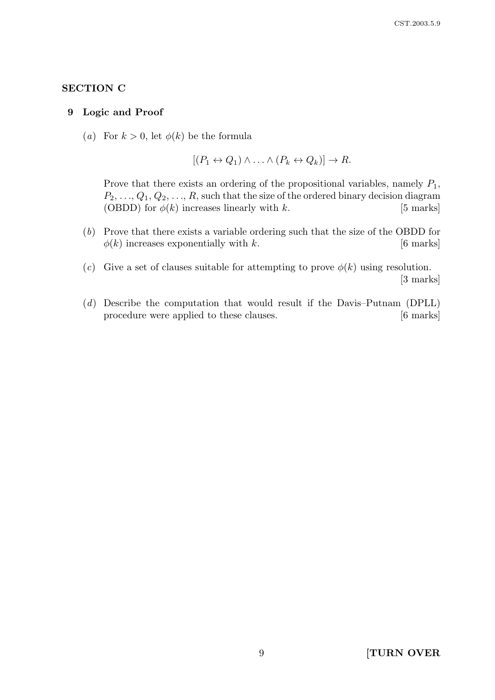# SECTION C

#### 9 Logic and Proof

(a) For  $k > 0$ , let  $\phi(k)$  be the formula

$$
[(P_1 \leftrightarrow Q_1) \land \ldots \land (P_k \leftrightarrow Q_k)] \to R.
$$

Prove that there exists an ordering of the propositional variables, namely  $P_1$ ,  $P_2, \ldots, Q_1, Q_2, \ldots, R$ , such that the size of the ordered binary decision diagram (OBDD) for  $\phi(k)$  increases linearly with k. [5 marks]

- (b) Prove that there exists a variable ordering such that the size of the OBDD for  $\phi(k)$  increases exponentially with k. [6 marks]
- (c) Give a set of clauses suitable for attempting to prove  $\phi(k)$  using resolution. [3 marks]
- (d) Describe the computation that would result if the Davis–Putnam (DPLL) procedure were applied to these clauses. [6 marks]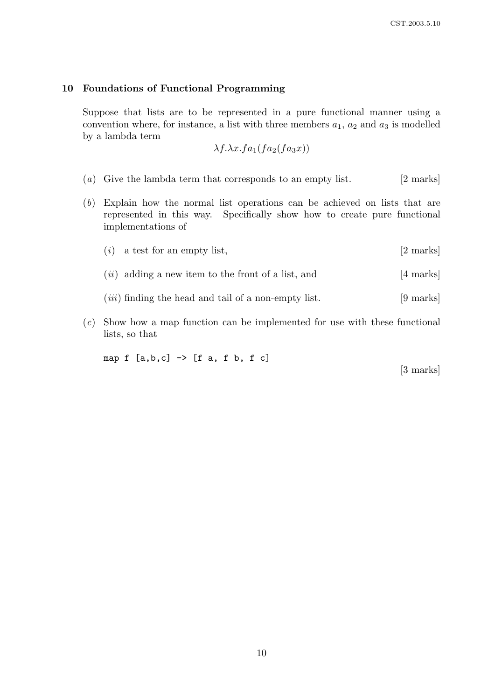### 10 Foundations of Functional Programming

Suppose that lists are to be represented in a pure functional manner using a convention where, for instance, a list with three members  $a_1, a_2$  and  $a_3$  is modelled by a lambda term

$$
\lambda f. \lambda x. fa_1(fa_2(fa_3x))
$$

- (a) Give the lambda term that corresponds to an empty list.  $[2 \text{ marks}]$
- (b) Explain how the normal list operations can be achieved on lists that are represented in this way. Specifically show how to create pure functional implementations of
	- (*i*) a test for an empty list,  $[2 \text{ marks}]$
	- $(ii)$  adding a new item to the front of a list, and  $[4 \text{ marks}]$
	- $(iii)$  finding the head and tail of a non-empty list.  $[9 \text{ marks}]$
- (c) Show how a map function can be implemented for use with these functional lists, so that

map  $f$  [a,b,c]  $\rightarrow$  [f a, f b, f c]

[3 marks]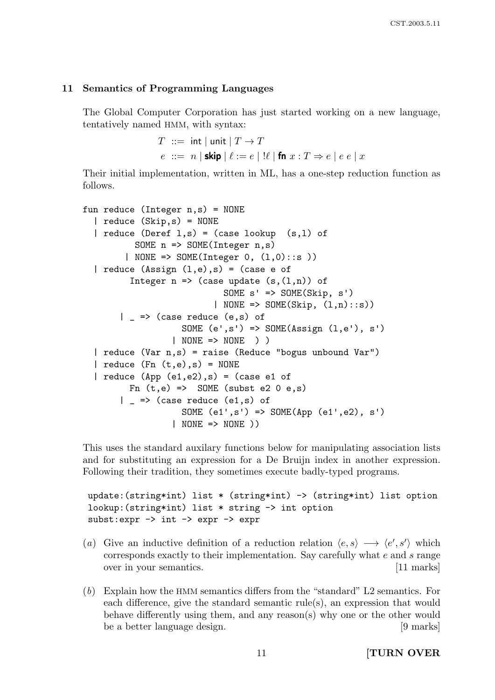#### 11 Semantics of Programming Languages

The Global Computer Corporation has just started working on a new language, tentatively named HMM, with syntax:

```
T ::= int | unit | T \rightarrow Te ::= n | \textsf{skip} | \ell := e | ! \ell | \textsf{fn} x : T \Rightarrow e | e e | x
```
Their initial implementation, written in ML, has a one-step reduction function as follows.

```
fun reduce (Integer n,s) = NONE
  | reduce (Skip,s) = NONE
  | reduce (Deref 1,s) = (case lookup (s,1) of
          SOME n => SOME(Integer n,s)
        | NONE => SOME(Integer 0, (l,0)::s ))
  | reduce (Assign (l,e),s) = (case e ofInteger n \Rightarrow (case update (s,(1,n)) of
                             SOME s' => SOME(Skip, s')
                           | NONE => SOME(Skip, (l,n):s))
       | = > (case reduce (e,s) of
                    SOME (e', s') \implies SOME (Assign (l, e'), s')| NONE => NONE ) )
  | reduce (Var n,s) = raise (Reduce "bogus unbound Var")
  | reduce (Fn (t,e),s) = NONE| reduce (\text{App } (e1, e2), s) = (\text{case } e1 \text{ of }Fn (t,e) => SOME (subst e2 0 e,s)
       | = > (case reduce (e1,s) of
                    SOME (e1', s') => SOME(App (e1', e2), s')
                  | NONE => NONE ))
```
This uses the standard auxilary functions below for manipulating association lists and for substituting an expression for a De Bruijn index in another expression. Following their tradition, they sometimes execute badly-typed programs.

```
update:(string*int) list * (string*int) -> (string*int) list option
lookup:(string*int) list * string -> int option
subst:expr -> int -> expr -> expr
```
- (a) Give an inductive definition of a reduction relation  $\langle e, s \rangle \longrightarrow \langle e', s' \rangle$  which corresponds exactly to their implementation. Say carefully what e and s range over in your semantics. [11 marks]
- (b) Explain how the HMM semantics differs from the "standard" L2 semantics. For each difference, give the standard semantic rule(s), an expression that would behave differently using them, and any reason(s) why one or the other would be a better language design. [9 marks]